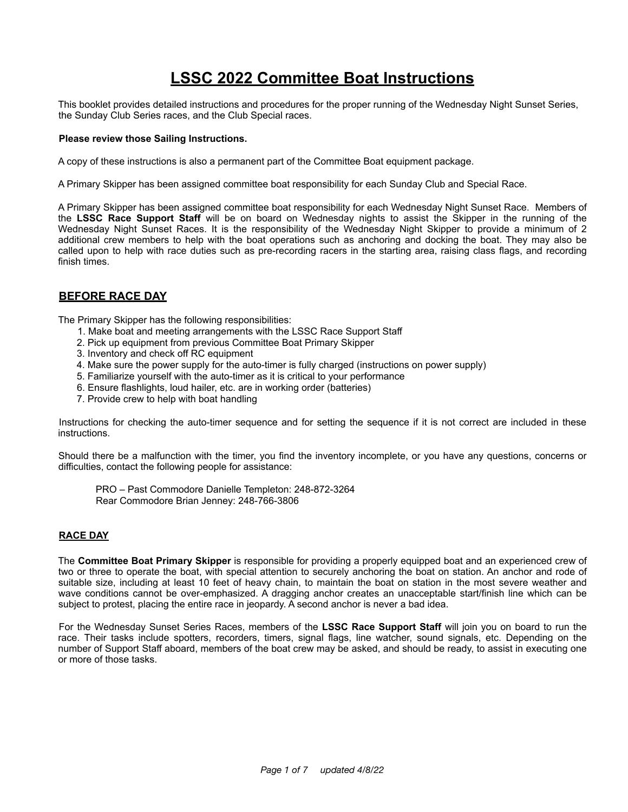# **LSSC 2022 Committee Boat Instructions**

This booklet provides detailed instructions and procedures for the proper running of the Wednesday Night Sunset Series, the Sunday Club Series races, and the Club Special races.

#### **Please review those Sailing Instructions.**

A copy of these instructions is also a permanent part of the Committee Boat equipment package.

A Primary Skipper has been assigned committee boat responsibility for each Sunday Club and Special Race.

A Primary Skipper has been assigned committee boat responsibility for each Wednesday Night Sunset Race. Members of the **LSSC Race Support Staff** will be on board on Wednesday nights to assist the Skipper in the running of the Wednesday Night Sunset Races. It is the responsibility of the Wednesday Night Skipper to provide a minimum of 2 additional crew members to help with the boat operations such as anchoring and docking the boat. They may also be called upon to help with race duties such as pre-recording racers in the starting area, raising class flags, and recording finish times.

# **BEFORE RACE DAY**

The Primary Skipper has the following responsibilities:

- 1. Make boat and meeting arrangements with the LSSC Race Support Staff
- 2. Pick up equipment from previous Committee Boat Primary Skipper
- 3. Inventory and check off RC equipment
- 4. Make sure the power supply for the auto-timer is fully charged (instructions on power supply)
- 5. Familiarize yourself with the auto-timer as it is critical to your performance
- 6. Ensure flashlights, loud hailer, etc. are in working order (batteries)
- 7. Provide crew to help with boat handling

Instructions for checking the auto-timer sequence and for setting the sequence if it is not correct are included in these instructions.

Should there be a malfunction with the timer, you find the inventory incomplete, or you have any questions, concerns or difficulties, contact the following people for assistance:

PRO – Past Commodore Danielle Templeton: 248-872-3264 Rear Commodore Brian Jenney: 248-766-3806

# **RACE DAY**

The **Committee Boat Primary Skipper** is responsible for providing a properly equipped boat and an experienced crew of two or three to operate the boat, with special attention to securely anchoring the boat on station. An anchor and rode of suitable size, including at least 10 feet of heavy chain, to maintain the boat on station in the most severe weather and wave conditions cannot be over-emphasized. A dragging anchor creates an unacceptable start/finish line which can be subject to protest, placing the entire race in jeopardy. A second anchor is never a bad idea.

For the Wednesday Sunset Series Races, members of the **LSSC Race Support Staff** will join you on board to run the race. Their tasks include spotters, recorders, timers, signal flags, line watcher, sound signals, etc. Depending on the number of Support Staff aboard, members of the boat crew may be asked, and should be ready, to assist in executing one or more of those tasks.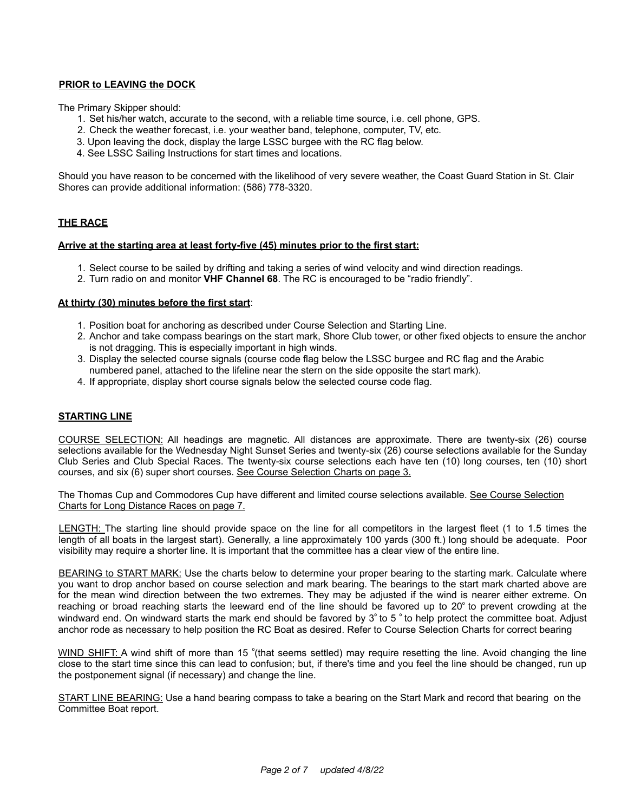# **PRIOR to LEAVING the DOCK**

The Primary Skipper should:

- 1. Set his/her watch, accurate to the second, with a reliable time source, i.e. cell phone, GPS.
- 2. Check the weather forecast, i.e. your weather band, telephone, computer, TV, etc.
- 3. Upon leaving the dock, display the large LSSC burgee with the RC flag below.
- 4. See LSSC Sailing Instructions for start times and locations.

Should you have reason to be concerned with the likelihood of very severe weather, the Coast Guard Station in St. Clair Shores can provide additional information: (586) 778-3320.

# **THE RACE**

#### **Arrive at the starting area at least forty-five (45) minutes prior to the first start:**

- 1. Select course to be sailed by drifting and taking a series of wind velocity and wind direction readings.
- 2. Turn radio on and monitor **VHF Channel 68**. The RC is encouraged to be "radio friendly".

#### **At thirty (30) minutes before the first start**:

- 1. Position boat for anchoring as described under Course Selection and Starting Line.
- 2. Anchor and take compass bearings on the start mark, Shore Club tower, or other fixed objects to ensure the anchor is not dragging. This is especially important in high winds.
- 3. Display the selected course signals (course code flag below the LSSC burgee and RC flag and the Arabic numbered panel, attached to the lifeline near the stern on the side opposite the start mark).
- 4. If appropriate, display short course signals below the selected course code flag.

#### **STARTING LINE**

COURSE SELECTION: All headings are magnetic. All distances are approximate. There are twenty-six (26) course selections available for the Wednesday Night Sunset Series and twenty-six (26) course selections available for the Sunday Club Series and Club Special Races. The twenty-six course selections each have ten (10) long courses, ten (10) short courses, and six (6) super short courses. See Course Selection Charts on page 3.

The Thomas Cup and Commodores Cup have different and limited course selections available. See Course Selection Charts for Long Distance Races on page 7.

LENGTH: The starting line should provide space on the line for all competitors in the largest fleet (1 to 1.5 times the length of all boats in the largest start). Generally, a line approximately 100 yards (300 ft.) long should be adequate. Poor visibility may require a shorter line. It is important that the committee has a clear view of the entire line.

BEARING to START MARK: Use the charts below to determine your proper bearing to the starting mark. Calculate where you want to drop anchor based on course selection and mark bearing. The bearings to the start mark charted above are for the mean wind direction between the two extremes. They may be adjusted if the wind is nearer either extreme. On reaching or broad reaching starts the leeward end of the line should be favored up to 20º to prevent crowding at the windward end. On windward starts the mark end should be favored by 3° to 5 ° to help protect the committee boat. Adjust anchor rode as necessary to help position the RC Boat as desired. Refer to Course Selection Charts for correct bearing

WIND SHIFT: A wind shift of more than 15 ° (that seems settled) may require resetting the line. Avoid changing the line close to the start time since this can lead to confusion; but, if there's time and you feel the line should be changed, run up the postponement signal (if necessary) and change the line.

START LINE BEARING: Use a hand bearing compass to take a bearing on the Start Mark and record that bearing on the Committee Boat report.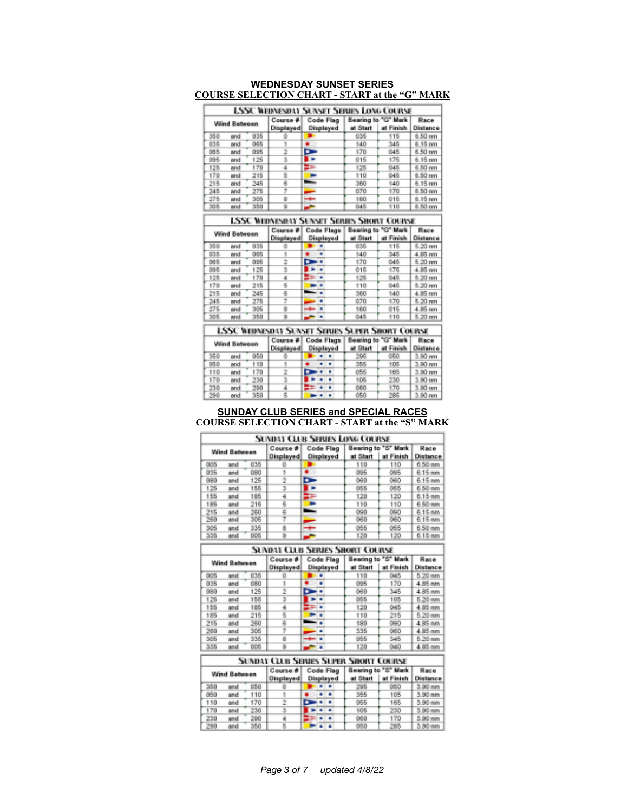| Wind Between |      |     | Course #<br>Displayed | Code Flag<br>Displayed | Bearing to "G" Mark<br>at Start<br>at Finish |     | Race<br>Distance |
|--------------|------|-----|-----------------------|------------------------|----------------------------------------------|-----|------------------|
| 350          | brid | 035 |                       |                        | 035                                          | 115 | 6.50 nm          |
| 035          | and  | 045 |                       |                        | 140                                          | 345 | 6.15 nm          |
| 085          | and  | 095 |                       |                        | 170                                          | 045 | 6.50 nm          |
| 095          | and  | 125 | э                     |                        | 015                                          | 176 | 6.15 mm          |
| 125          | and  | 170 |                       |                        | 125                                          | 045 | 6.50 nm          |
| 170          | and  | 215 |                       |                        | 110                                          | 045 | 6.50 mm          |
| 215          | and  | 245 |                       | ∽                      | 360                                          | 140 | 6.15 mm          |
| 245          | and  | 275 |                       |                        | 070                                          | 170 | 6.50 nm          |
| 275          | brid | 305 |                       |                        | 160                                          | 015 | 6.15 mm          |
| 305          | and  | 350 |                       |                        | 045                                          | 110 | 6.50 nm          |

#### **WEDNESDAY SUNSET SERIES COURSE SELECTION CHART - START at the "G" MARK**

**LSSC WEDNESDAY SUNSET SERIES SHORT COURSE** 

|     | Wind Between |     | Course #<br>Displayed | Code Flags<br>Displayed | Bearing to "G" Mark<br>at Start<br>at Finish |     | Race<br><b>Distance</b> |  |
|-----|--------------|-----|-----------------------|-------------------------|----------------------------------------------|-----|-------------------------|--|
| 350 | brid         | 035 |                       |                         | 035                                          | 115 | 5.20 mm                 |  |
| 035 | and          | 065 |                       |                         | 140                                          | 345 | 4.85 nm                 |  |
| 085 | brat         | 095 |                       |                         | 170                                          | 045 | $5.20 \text{ mm}$       |  |
| 095 | brid         | 125 |                       |                         | 015                                          | 176 | 4.85 mm                 |  |
| 125 | and          | 170 |                       |                         | 125                                          | 045 | 5.20 nm                 |  |
| 170 | brat         | 215 |                       |                         | 110                                          | 045 | 5.20 mm                 |  |
| 215 | and          | 245 |                       |                         | 360                                          | 140 | 4.85 nm                 |  |
| 245 | and          | 275 |                       |                         | <b>GTO</b>                                   | 170 | 5.20 nm                 |  |
| 275 | brid         | 305 |                       |                         | 160                                          | 015 | 4.85 mm                 |  |
| 305 | and          | 350 |                       |                         | 045                                          | 110 | 5.20 mm                 |  |

**LSSC WEDNESDAY SUNSET SERIES SUPER SHORT COURSE** 

Г

| Wind Between |      | Course #<br>Displayed | Code Flags<br>Displayed |  |  | Bearing to "G" Mark<br>ot Start | Race<br><b>Distance</b> |     |         |
|--------------|------|-----------------------|-------------------------|--|--|---------------------------------|-------------------------|-----|---------|
| 350          | and  | 050                   |                         |  |  |                                 | 296                     | 050 | 3.90 mm |
| 050          | and  | 110                   |                         |  |  |                                 | 355                     | 105 | 3.90 nm |
| 110          | brat | 170                   |                         |  |  |                                 | 055                     | 165 | 3.90 mm |
| 170          | and  | 230                   |                         |  |  |                                 | 105                     | 230 | 3.90 mm |
| 230          | and  | 290                   |                         |  |  |                                 | 060                     | 170 | 3.90 nm |
| 290          | and  | 350                   |                         |  |  |                                 | 050                     | 285 | 3.90 nm |

#### **SUNDAY CLUB SERIES and SPECIAL RACES COURSE SELECTION CHART - START at the "S" MARK**

|              | <b>SUNDAY CLUB SERIES LONG COURSE</b> |     |                              |                        |          |                                  |         |  |  |  |  |  |
|--------------|---------------------------------------|-----|------------------------------|------------------------|----------|----------------------------------|---------|--|--|--|--|--|
| Wind Between |                                       |     | Course #<br><b>Displayed</b> | Code Flag<br>Displayed | at Start | Bearing to "S" Mark<br>at Finish |         |  |  |  |  |  |
| 005          | and                                   | 035 | o                            |                        | 110      | 110                              | 6.50 nm |  |  |  |  |  |
| 035          | and                                   | 080 |                              |                        | 095      | 095                              | 6.15 mm |  |  |  |  |  |
| 080          | and                                   | 125 |                              | n                      | 060      | 060                              | 6.15 mm |  |  |  |  |  |
| 125          | and                                   | 155 |                              |                        | 055      | 055                              | 6.50 nm |  |  |  |  |  |
| 155          | and                                   | 185 | 4                            |                        | 120      | 120                              | 6.15 nm |  |  |  |  |  |
| 185          | and                                   | 215 | 6                            |                        | 110      | 110                              | 6.50 mm |  |  |  |  |  |
| 215          | and                                   | 260 | 6                            |                        | 090      | 090                              | 6.15 nm |  |  |  |  |  |
| 260          | and                                   | 305 |                              |                        | 060      | 060                              | 6.15 mm |  |  |  |  |  |
| 305          | and                                   | 335 | ġ                            |                        | 055      | 055                              | 6.50 mm |  |  |  |  |  |
| 335          | and                                   | ops |                              |                        | 120      | 120                              | 6.15 nm |  |  |  |  |  |

#### **SUNDAY CLUB SERIES SHORT COURSE**

|     | Wind Between |     | Course #  | Code Flag |           | Bearing to "S" Mark | Race      |          |
|-----|--------------|-----|-----------|-----------|-----------|---------------------|-----------|----------|
|     |              |     | Displayed |           | Displayed | at Start            | at Finish | Distance |
| 005 | and          | 035 | o         |           |           | 110                 | 045       | 5.20 nm  |
| 035 | and          | 080 |           | ۰         |           | 095                 | 170       | 4.85 nm  |
| 080 | and          | 125 | 2         | T         |           | 060                 | 345       | 4.85 nm  |
| 125 | and          | 155 |           |           |           | 055                 | 105       | 5.20 nm  |
| 155 | and          | 185 | 4         |           |           | 120                 | 045       | 4.85 mm  |
| 185 | and          | 215 | 6         |           |           | 110                 | 215       | 5.20 mm  |
| 215 | and          | 260 | g         |           |           | 180                 | 090       | 4.85 nm  |
| 260 | and          | 305 |           |           |           | 335                 | 060       | 4.85 nm  |
| 305 | and          | 335 | 8         |           |           | 055                 | 345       | 5.20 mm  |
| 335 | and          | 005 | 9         |           |           | 120                 | 040       | 4.85 nm  |

| <b>SUNDAY CLUB SERIES SUPER SHORT COURSE</b> |     |                       |                        |  |  |                                 |                         |     |         |  |
|----------------------------------------------|-----|-----------------------|------------------------|--|--|---------------------------------|-------------------------|-----|---------|--|
| <b>Wind Between</b>                          |     | Course #<br>Displayed | Code Flag<br>Displayed |  |  | Bearing to "S" Mark<br>at Start | Race<br><b>Distance</b> |     |         |  |
| 350                                          | and | 050                   |                        |  |  |                                 | 298                     | 050 | 3.90 nm |  |
| 050                                          | and | 110                   |                        |  |  |                                 | 355                     | 105 | 3.90 mm |  |
| 110                                          | and | 170                   |                        |  |  |                                 | 055                     | 165 | 3.90 mm |  |
| 170                                          | and | 230                   |                        |  |  |                                 | 105                     | 230 | 3.90 nm |  |
| 230                                          | and | 290                   |                        |  |  |                                 | 060                     | 170 | 3.90 nm |  |
| 290                                          | and | 350                   |                        |  |  |                                 | 050                     | 295 | 3.90 nm |  |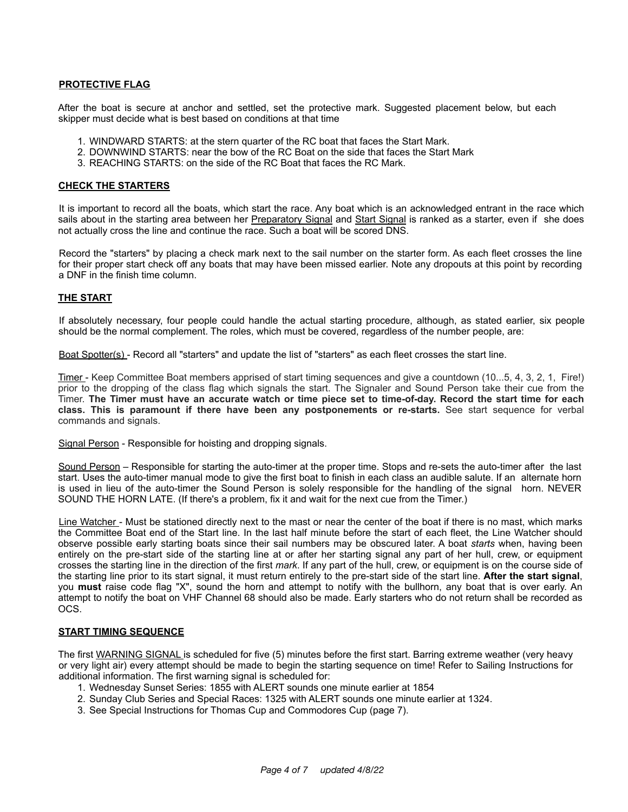## **PROTECTIVE FLAG**

After the boat is secure at anchor and settled, set the protective mark. Suggested placement below, but each skipper must decide what is best based on conditions at that time

- 1. WINDWARD STARTS: at the stern quarter of the RC boat that faces the Start Mark.
- 2. DOWNWIND STARTS: near the bow of the RC Boat on the side that faces the Start Mark
- 3. REACHING STARTS: on the side of the RC Boat that faces the RC Mark.

#### **CHECK THE STARTERS**

It is important to record all the boats, which start the race. Any boat which is an acknowledged entrant in the race which sails about in the starting area between her Preparatory Signal and Start Signal is ranked as a starter, even if she does not actually cross the line and continue the race. Such a boat will be scored DNS.

Record the "starters" by placing a check mark next to the sail number on the starter form. As each fleet crosses the line for their proper start check off any boats that may have been missed earlier. Note any dropouts at this point by recording a DNF in the finish time column.

## **THE START**

If absolutely necessary, four people could handle the actual starting procedure, although, as stated earlier, six people should be the normal complement. The roles, which must be covered, regardless of the number people, are:

Boat Spotter(s) - Record all "starters" and update the list of "starters" as each fleet crosses the start line.

Timer - Keep Committee Boat members apprised of start timing sequences and give a countdown (10...5, 4, 3, 2, 1, Fire!) prior to the dropping of the class flag which signals the start. The Signaler and Sound Person take their cue from the Timer. **The Timer must have an accurate watch or time piece set to time-of-day. Record the start time for each class. This is paramount if there have been any postponements or re-starts.** See start sequence for verbal commands and signals.

Signal Person - Responsible for hoisting and dropping signals.

Sound Person – Responsible for starting the auto-timer at the proper time. Stops and re-sets the auto-timer after the last start. Uses the auto-timer manual mode to give the first boat to finish in each class an audible salute. If an alternate horn is used in lieu of the auto-timer the Sound Person is solely responsible for the handling of the signal horn. NEVER SOUND THE HORN LATE. (If there's a problem, fix it and wait for the next cue from the Timer.)

Line Watcher - Must be stationed directly next to the mast or near the center of the boat if there is no mast, which marks the Committee Boat end of the Start line. In the last half minute before the start of each fleet, the Line Watcher should observe possible early starting boats since their sail numbers may be obscured later. A boat *starts* when, having been entirely on the pre-start side of the starting line at or after her starting signal any part of her hull, crew, or equipment crosses the starting line in the direction of the first *mark*. If any part of the hull, crew, or equipment is on the course side of the starting line prior to its start signal, it must return entirely to the pre-start side of the start line. **After the start signal**, you **must** raise code flag "X", sound the horn and attempt to notify with the bullhorn, any boat that is over early. An attempt to notify the boat on VHF Channel 68 should also be made. Early starters who do not return shall be recorded as OCS.

#### **START TIMING SEQUENCE**

The first WARNING SIGNAL is scheduled for five (5) minutes before the first start. Barring extreme weather (very heavy or very light air) every attempt should be made to begin the starting sequence on time! Refer to Sailing Instructions for additional information. The first warning signal is scheduled for:

- 1. Wednesday Sunset Series: 1855 with ALERT sounds one minute earlier at 1854
- 2. Sunday Club Series and Special Races: 1325 with ALERT sounds one minute earlier at 1324.
- 3. See Special Instructions for Thomas Cup and Commodores Cup (page 7).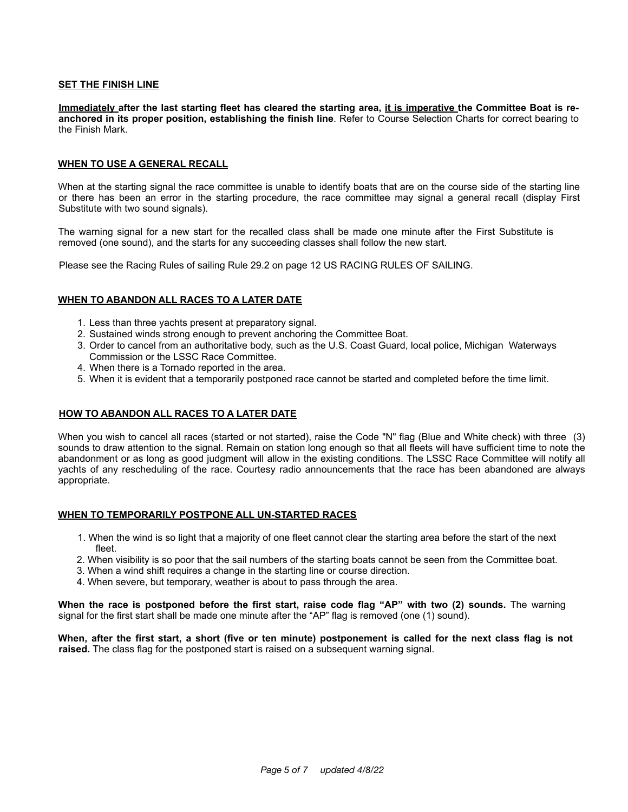## **SET THE FINISH LINE**

Immediately after the last starting fleet has cleared the starting area, it is imperative the Committee Boat is re**anchored in its proper position, establishing the finish line**. Refer to Course Selection Charts for correct bearing to the Finish Mark.

#### **WHEN TO USE A GENERAL RECALL**

When at the starting signal the race committee is unable to identify boats that are on the course side of the starting line or there has been an error in the starting procedure, the race committee may signal a general recall (display First Substitute with two sound signals).

The warning signal for a new start for the recalled class shall be made one minute after the First Substitute is removed (one sound), and the starts for any succeeding classes shall follow the new start.

Please see the Racing Rules of sailing Rule 29.2 on page 12 US RACING RULES OF SAILING.

#### **WHEN TO ABANDON ALL RACES TO A LATER DATE**

- 1. Less than three yachts present at preparatory signal.
- 2. Sustained winds strong enough to prevent anchoring the Committee Boat.
- 3. Order to cancel from an authoritative body, such as the U.S. Coast Guard, local police, Michigan Waterways Commission or the LSSC Race Committee.
- 4. When there is a Tornado reported in the area.
- 5. When it is evident that a temporarily postponed race cannot be started and completed before the time limit.

#### **HOW TO ABANDON ALL RACES TO A LATER DATE**

When you wish to cancel all races (started or not started), raise the Code "N" flag (Blue and White check) with three (3) sounds to draw attention to the signal. Remain on station long enough so that all fleets will have sufficient time to note the abandonment or as long as good judgment will allow in the existing conditions. The LSSC Race Committee will notify all yachts of any rescheduling of the race. Courtesy radio announcements that the race has been abandoned are always appropriate.

## **WHEN TO TEMPORARILY POSTPONE ALL UN-STARTED RACES**

- 1. When the wind is so light that a majority of one fleet cannot clear the starting area before the start of the next fleet.
- 2. When visibility is so poor that the sail numbers of the starting boats cannot be seen from the Committee boat.
- 3. When a wind shift requires a change in the starting line or course direction.
- 4. When severe, but temporary, weather is about to pass through the area.

**When the race is postponed before the first start, raise code flag "AP" with two (2) sounds.** The warning signal for the first start shall be made one minute after the "AP" flag is removed (one (1) sound).

**When, after the first start, a short (five or ten minute) postponement is called for the next class flag is not raised.** The class flag for the postponed start is raised on a subsequent warning signal.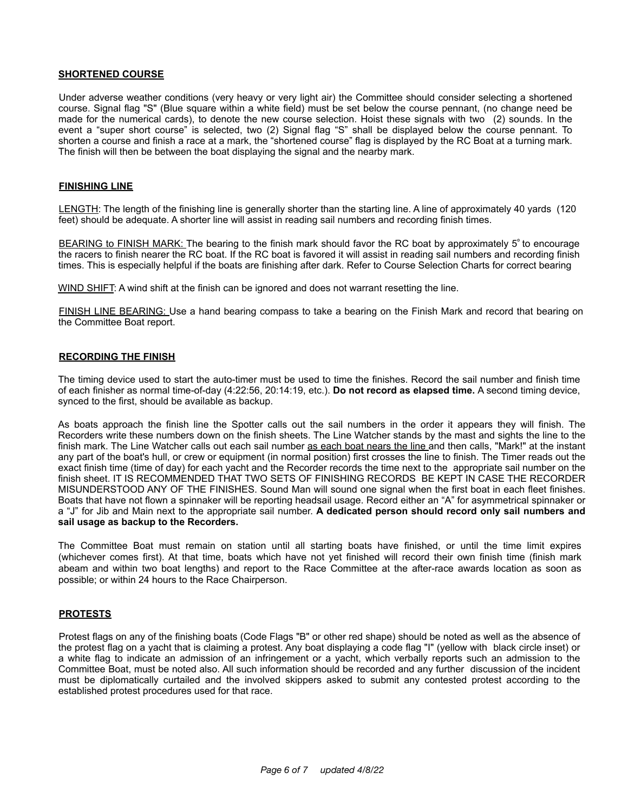#### **SHORTENED COURSE**

Under adverse weather conditions (very heavy or very light air) the Committee should consider selecting a shortened course. Signal flag "S" (Blue square within a white field) must be set below the course pennant, (no change need be made for the numerical cards), to denote the new course selection. Hoist these signals with two (2) sounds. In the event a "super short course" is selected, two (2) Signal flag "S" shall be displayed below the course pennant. To shorten a course and finish a race at a mark, the "shortened course" flag is displayed by the RC Boat at a turning mark. The finish will then be between the boat displaying the signal and the nearby mark.

#### **FINISHING LINE**

LENGTH: The length of the finishing line is generally shorter than the starting line. A line of approximately 40 yards (120 feet) should be adequate. A shorter line will assist in reading sail numbers and recording finish times.

BEARING to FINISH MARK: The bearing to the finish mark should favor the RC boat by approximately 5° to encourage the racers to finish nearer the RC boat. If the RC boat is favored it will assist in reading sail numbers and recording finish times. This is especially helpful if the boats are finishing after dark. Refer to Course Selection Charts for correct bearing

WIND SHIFT: A wind shift at the finish can be ignored and does not warrant resetting the line.

FINISH LINE BEARING: Use a hand bearing compass to take a bearing on the Finish Mark and record that bearing on the Committee Boat report.

#### **RECORDING THE FINISH**

The timing device used to start the auto-timer must be used to time the finishes. Record the sail number and finish time of each finisher as normal time-of-day (4:22:56, 20:14:19, etc.). **Do not record as elapsed time.** A second timing device, synced to the first, should be available as backup.

As boats approach the finish line the Spotter calls out the sail numbers in the order it appears they will finish. The Recorders write these numbers down on the finish sheets. The Line Watcher stands by the mast and sights the line to the finish mark. The Line Watcher calls out each sail number as each boat nears the line and then calls, "Mark!" at the instant any part of the boat's hull, or crew or equipment (in normal position) first crosses the line to finish. The Timer reads out the exact finish time (time of day) for each yacht and the Recorder records the time next to the appropriate sail number on the finish sheet. IT IS RECOMMENDED THAT TWO SETS OF FINISHING RECORDS BE KEPT IN CASE THE RECORDER MISUNDERSTOOD ANY OF THE FINISHES. Sound Man will sound one signal when the first boat in each fleet finishes. Boats that have not flown a spinnaker will be reporting headsail usage. Record either an "A" for asymmetrical spinnaker or a "J" for Jib and Main next to the appropriate sail number. **A dedicated person should record only sail numbers and sail usage as backup to the Recorders.** 

The Committee Boat must remain on station until all starting boats have finished, or until the time limit expires (whichever comes first). At that time, boats which have not yet finished will record their own finish time (finish mark abeam and within two boat lengths) and report to the Race Committee at the after-race awards location as soon as possible; or within 24 hours to the Race Chairperson.

#### **PROTESTS**

Protest flags on any of the finishing boats (Code Flags "B" or other red shape) should be noted as well as the absence of the protest flag on a yacht that is claiming a protest. Any boat displaying a code flag "I" (yellow with black circle inset) or a white flag to indicate an admission of an infringement or a yacht, which verbally reports such an admission to the Committee Boat, must be noted also. All such information should be recorded and any further discussion of the incident must be diplomatically curtailed and the involved skippers asked to submit any contested protest according to the established protest procedures used for that race.